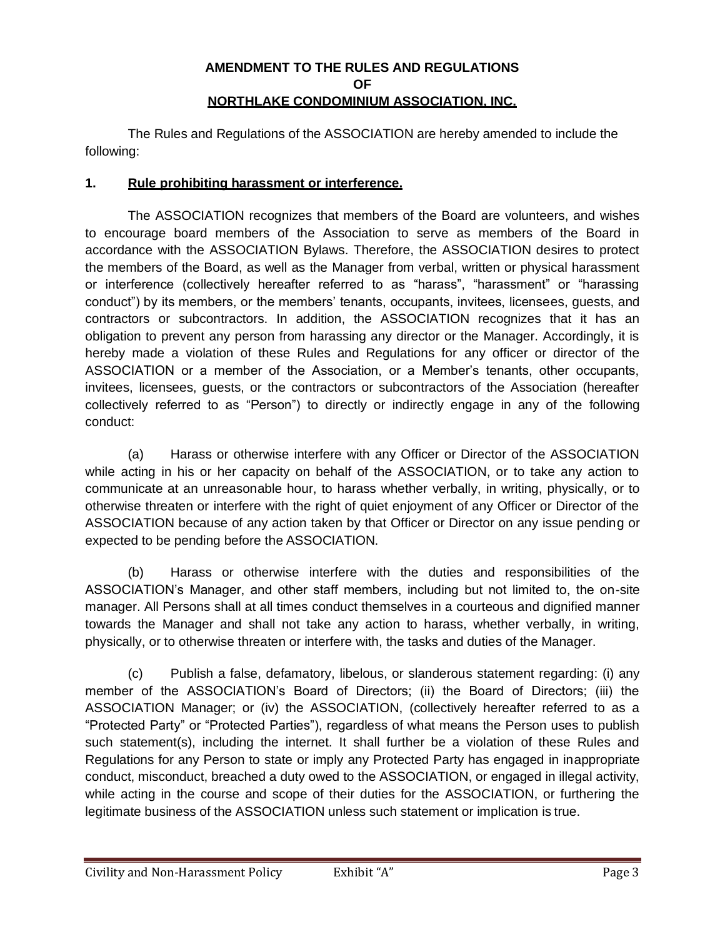## **AMENDMENT TO THE RULES AND REGULATIONS OF NORTHLAKE CONDOMINIUM ASSOCIATION, INC.**

The Rules and Regulations of the ASSOCIATION are hereby amended to include the following:

## **1. Rule prohibiting harassment or interference.**

The ASSOCIATION recognizes that members of the Board are volunteers, and wishes to encourage board members of the Association to serve as members of the Board in accordance with the ASSOCIATION Bylaws. Therefore, the ASSOCIATION desires to protect the members of the Board, as well as the Manager from verbal, written or physical harassment or interference (collectively hereafter referred to as "harass", "harassment" or "harassing conduct") by its members, or the members' tenants, occupants, invitees, licensees, guests, and contractors or subcontractors. In addition, the ASSOCIATION recognizes that it has an obligation to prevent any person from harassing any director or the Manager. Accordingly, it is hereby made a violation of these Rules and Regulations for any officer or director of the ASSOCIATION or a member of the Association, or a Member's tenants, other occupants, invitees, licensees, guests, or the contractors or subcontractors of the Association (hereafter collectively referred to as "Person") to directly or indirectly engage in any of the following conduct:

(a) Harass or otherwise interfere with any Officer or Director of the ASSOCIATION while acting in his or her capacity on behalf of the ASSOCIATION, or to take any action to communicate at an unreasonable hour, to harass whether verbally, in writing, physically, or to otherwise threaten or interfere with the right of quiet enjoyment of any Officer or Director of the ASSOCIATION because of any action taken by that Officer or Director on any issue pending or expected to be pending before the ASSOCIATION.

(b) Harass or otherwise interfere with the duties and responsibilities of the ASSOCIATION's Manager, and other staff members, including but not limited to, the on-site manager. All Persons shall at all times conduct themselves in a courteous and dignified manner towards the Manager and shall not take any action to harass, whether verbally, in writing, physically, or to otherwise threaten or interfere with, the tasks and duties of the Manager.

(c) Publish a false, defamatory, libelous, or slanderous statement regarding: (i) any member of the ASSOCIATION's Board of Directors; (ii) the Board of Directors; (iii) the ASSOCIATION Manager; or (iv) the ASSOCIATION, (collectively hereafter referred to as a "Protected Party" or "Protected Parties"), regardless of what means the Person uses to publish such statement(s), including the internet. It shall further be a violation of these Rules and Regulations for any Person to state or imply any Protected Party has engaged in inappropriate conduct, misconduct, breached a duty owed to the ASSOCIATION, or engaged in illegal activity, while acting in the course and scope of their duties for the ASSOCIATION, or furthering the legitimate business of the ASSOCIATION unless such statement or implication is true.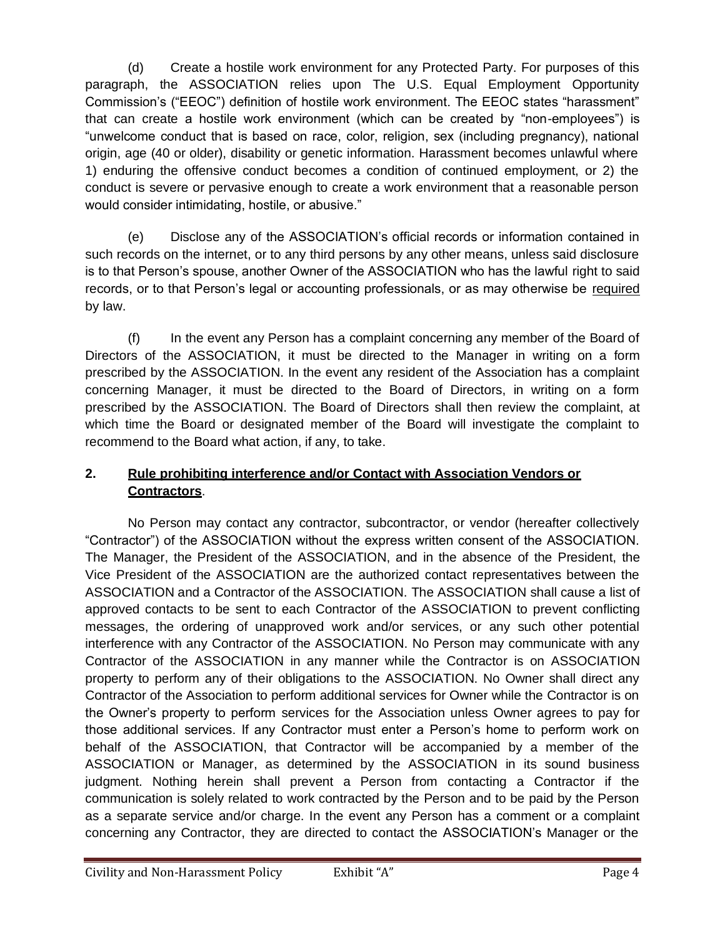(d) Create a hostile work environment for any Protected Party. For purposes of this paragraph, the ASSOCIATION relies upon The U.S. Equal Employment Opportunity Commission's ("EEOC") definition of hostile work environment. The EEOC states "harassment" that can create a hostile work environment (which can be created by "non-employees") is "unwelcome conduct that is based on race, color, religion, sex (including pregnancy), national origin, age (40 or older), disability or genetic information. Harassment becomes unlawful where 1) enduring the offensive conduct becomes a condition of continued employment, or 2) the conduct is severe or pervasive enough to create a work environment that a reasonable person would consider intimidating, hostile, or abusive."

(e) Disclose any of the ASSOCIATION's official records or information contained in such records on the internet, or to any third persons by any other means, unless said disclosure is to that Person's spouse, another Owner of the ASSOCIATION who has the lawful right to said records, or to that Person's legal or accounting professionals, or as may otherwise be required by law.

(f) In the event any Person has a complaint concerning any member of the Board of Directors of the ASSOCIATION, it must be directed to the Manager in writing on a form prescribed by the ASSOCIATION. In the event any resident of the Association has a complaint concerning Manager, it must be directed to the Board of Directors, in writing on a form prescribed by the ASSOCIATION. The Board of Directors shall then review the complaint, at which time the Board or designated member of the Board will investigate the complaint to recommend to the Board what action, if any, to take.

## **2. Rule prohibiting interference and/or Contact with Association Vendors or Contractors**.

No Person may contact any contractor, subcontractor, or vendor (hereafter collectively "Contractor") of the ASSOCIATION without the express written consent of the ASSOCIATION. The Manager, the President of the ASSOCIATION, and in the absence of the President, the Vice President of the ASSOCIATION are the authorized contact representatives between the ASSOCIATION and a Contractor of the ASSOCIATION. The ASSOCIATION shall cause a list of approved contacts to be sent to each Contractor of the ASSOCIATION to prevent conflicting messages, the ordering of unapproved work and/or services, or any such other potential interference with any Contractor of the ASSOCIATION. No Person may communicate with any Contractor of the ASSOCIATION in any manner while the Contractor is on ASSOCIATION property to perform any of their obligations to the ASSOCIATION. No Owner shall direct any Contractor of the Association to perform additional services for Owner while the Contractor is on the Owner's property to perform services for the Association unless Owner agrees to pay for those additional services. If any Contractor must enter a Person's home to perform work on behalf of the ASSOCIATION, that Contractor will be accompanied by a member of the ASSOCIATION or Manager, as determined by the ASSOCIATION in its sound business judgment. Nothing herein shall prevent a Person from contacting a Contractor if the communication is solely related to work contracted by the Person and to be paid by the Person as a separate service and/or charge. In the event any Person has a comment or a complaint concerning any Contractor, they are directed to contact the ASSOCIATION's Manager or the